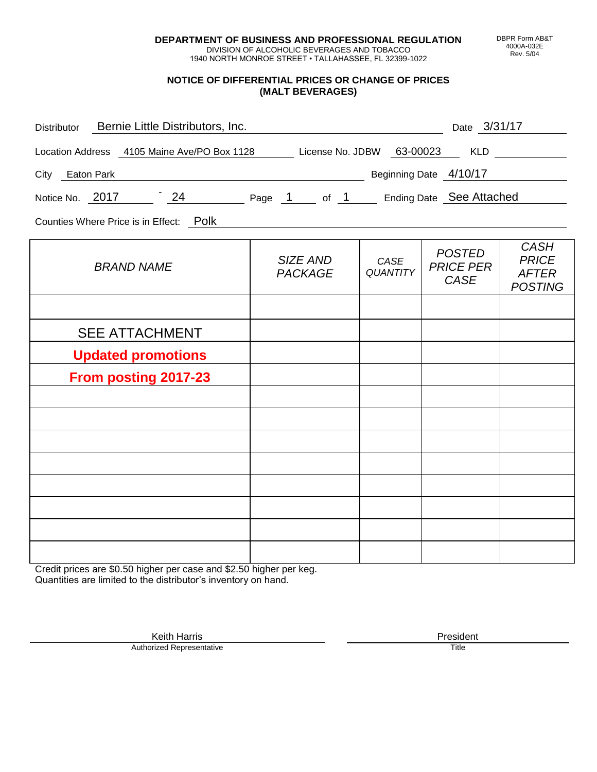**DEPARTMENT OF BUSINESS AND PROFESSIONAL REGULATION** DIVISION OF ALCOHOLIC BEVERAGES AND TOBACCO

1940 NORTH MONROE STREET • TALLAHASSEE, FL 32399-1022

#### **NOTICE OF DIFFERENTIAL PRICES OR CHANGE OF PRICES (MALT BEVERAGES)**

| Distributor Bernie Little Distributors, Inc.                              |                            |                         | Date 3/31/17                                     |                                                               |
|---------------------------------------------------------------------------|----------------------------|-------------------------|--------------------------------------------------|---------------------------------------------------------------|
| Location Address 4105 Maine Ave/PO Box 1128 License No. JDBW 63-00023 KLD |                            |                         |                                                  |                                                               |
| Beginning Date 4/10/17<br>City Eaton Park                                 |                            |                         |                                                  |                                                               |
| Notice No. 2017 24 Page 1 of 1 Ending Date See Attached                   |                            |                         |                                                  |                                                               |
| Counties Where Price is in Effect: Polk                                   |                            |                         |                                                  |                                                               |
| <b>BRAND NAME</b>                                                         | SIZE AND<br><b>PACKAGE</b> | CASE<br><b>QUANTITY</b> | <b>POSTED</b><br><b>PRICE PER</b><br><b>CASE</b> | <b>CASH</b><br><b>PRICE</b><br><b>AFTER</b><br><b>POSTING</b> |
|                                                                           |                            |                         |                                                  |                                                               |
| <b>SEE ATTACHMENT</b>                                                     |                            |                         |                                                  |                                                               |
| <b>Updated promotions</b>                                                 |                            |                         |                                                  |                                                               |
| <b>From posting 2017-23</b>                                               |                            |                         |                                                  |                                                               |
|                                                                           |                            |                         |                                                  |                                                               |
|                                                                           |                            |                         |                                                  |                                                               |
|                                                                           |                            |                         |                                                  |                                                               |
|                                                                           |                            |                         |                                                  |                                                               |
|                                                                           |                            |                         |                                                  |                                                               |
|                                                                           |                            |                         |                                                  |                                                               |
|                                                                           |                            |                         |                                                  |                                                               |
|                                                                           |                            |                         |                                                  |                                                               |

Credit prices are \$0.50 higher per case and \$2.50 higher per keg. Quantities are limited to the distributor's inventory on hand.

DBPR Form AB&T 4000A-032E Rev. 5/04

Keith Harris **President** President **President** President **President** President **President** Authorized Representative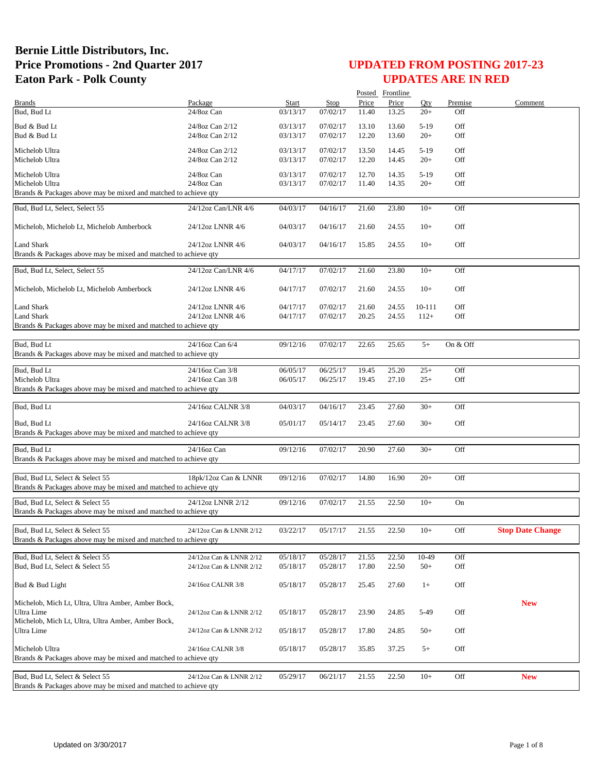|                                                                                                    |                               |              |          |       | Posted Frontline |        |          |                         |
|----------------------------------------------------------------------------------------------------|-------------------------------|--------------|----------|-------|------------------|--------|----------|-------------------------|
| <b>Brands</b>                                                                                      | Package                       | <b>Start</b> | Stop     | Price | Price            | Oty    | Premise  | Comment                 |
| Bud, Bud Lt                                                                                        | 24/8oz Can                    | 03/13/17     | 07/02/17 | 11.40 | 13.25            | $20+$  | Off      |                         |
| Bud & Bud Lt                                                                                       | 24/8oz Can 2/12               | 03/13/17     | 07/02/17 | 13.10 | 13.60            | $5-19$ | Off      |                         |
| Bud & Bud Lt                                                                                       | 24/8oz Can 2/12               | 03/13/17     | 07/02/17 | 12.20 | 13.60            | $20+$  | Off      |                         |
|                                                                                                    |                               |              |          |       |                  |        |          |                         |
| Michelob Ultra                                                                                     | 24/8oz Can 2/12               | 03/13/17     | 07/02/17 | 13.50 | 14.45            | $5-19$ | Off      |                         |
| Michelob Ultra                                                                                     | 24/8oz Can 2/12               | 03/13/17     | 07/02/17 | 12.20 | 14.45            | $20+$  | Off      |                         |
| Michelob Ultra                                                                                     | 24/8oz Can                    | 03/13/17     | 07/02/17 | 12.70 | 14.35            | $5-19$ | Off      |                         |
| Michelob Ultra                                                                                     | 24/8oz Can                    | 03/13/17     | 07/02/17 | 11.40 | 14.35            | $20+$  | Off      |                         |
| Brands & Packages above may be mixed and matched to achieve qty                                    |                               |              |          |       |                  |        |          |                         |
|                                                                                                    |                               |              |          |       |                  |        |          |                         |
| Bud, Bud Lt, Select, Select 55                                                                     | 24/12oz Can/LNR 4/6           | 04/03/17     | 04/16/17 | 21.60 | 23.80            | $10+$  | Off      |                         |
|                                                                                                    |                               |              |          |       |                  |        |          |                         |
| Michelob, Michelob Lt, Michelob Amberbock                                                          | 24/12oz LNNR 4/6              | 04/03/17     | 04/16/17 | 21.60 | 24.55            | $10+$  | Off      |                         |
|                                                                                                    |                               |              |          |       |                  |        |          |                         |
| Land Shark                                                                                         | 24/12oz LNNR 4/6              | 04/03/17     | 04/16/17 | 15.85 | 24.55            | $10+$  | Off      |                         |
| Brands & Packages above may be mixed and matched to achieve qty                                    |                               |              |          |       |                  |        |          |                         |
| Bud, Bud Lt, Select, Select 55                                                                     | 24/12oz Can/LNR 4/6           | 04/17/17     | 07/02/17 | 21.60 | 23.80            | $10+$  | Off      |                         |
|                                                                                                    |                               |              |          |       |                  |        |          |                         |
| Michelob, Michelob Lt, Michelob Amberbock                                                          | 24/12oz LNNR 4/6              | 04/17/17     | 07/02/17 | 21.60 | 24.55            | $10+$  | Off      |                         |
|                                                                                                    |                               |              |          |       |                  |        |          |                         |
| <b>Land Shark</b>                                                                                  | 24/12oz LNNR 4/6              | 04/17/17     | 07/02/17 | 21.60 | 24.55            | 10-111 | Off      |                         |
| <b>Land Shark</b>                                                                                  | 24/12oz LNNR 4/6              | 04/17/17     | 07/02/17 | 20.25 | 24.55            | $112+$ | Off      |                         |
| Brands & Packages above may be mixed and matched to achieve qty                                    |                               |              |          |       |                  |        |          |                         |
|                                                                                                    |                               |              |          |       |                  |        |          |                         |
| Bud, Bud Lt                                                                                        | 24/16oz Can 6/4               | 09/12/16     | 07/02/17 | 22.65 | 25.65            | $5+$   | On & Off |                         |
| Brands & Packages above may be mixed and matched to achieve qty                                    |                               |              |          |       |                  |        |          |                         |
|                                                                                                    |                               |              |          |       |                  |        |          |                         |
| Bud, Bud Lt                                                                                        | $\overline{24}/16$ oz Can 3/8 | 06/05/17     | 06/25/17 | 19.45 | 25.20            | $25+$  | Off      |                         |
| Michelob Ultra                                                                                     | 24/16oz Can 3/8               | 06/05/17     | 06/25/17 | 19.45 | 27.10            | $25+$  | Off      |                         |
| Brands & Packages above may be mixed and matched to achieve qty                                    |                               |              |          |       |                  |        |          |                         |
|                                                                                                    |                               |              |          |       |                  |        |          |                         |
| Bud, Bud Lt                                                                                        | 24/16oz CALNR 3/8             | 04/03/17     | 04/16/17 | 23.45 | 27.60            | $30+$  | Off      |                         |
| Bud, Bud Lt                                                                                        | 24/16oz CALNR 3/8             | 05/01/17     | 05/14/17 | 23.45 | 27.60            | $30+$  | Off      |                         |
| Brands & Packages above may be mixed and matched to achieve qty                                    |                               |              |          |       |                  |        |          |                         |
|                                                                                                    |                               |              |          |       |                  |        |          |                         |
| Bud, Bud Lt                                                                                        | 24/16oz Can                   | 09/12/16     | 07/02/17 | 20.90 | 27.60            | $30+$  | Off      |                         |
| Brands & Packages above may be mixed and matched to achieve qty                                    |                               |              |          |       |                  |        |          |                         |
|                                                                                                    |                               |              |          |       |                  |        |          |                         |
| Bud, Bud Lt, Select & Select 55                                                                    | 18pk/12oz Can & LNNR          | 09/12/16     | 07/02/17 | 14.80 | 16.90            | $20+$  | Off      |                         |
| Brands & Packages above may be mixed and matched to achieve qty                                    |                               |              |          |       |                  |        |          |                         |
| Bud, Bud Lt, Select & Select 55                                                                    |                               |              |          |       |                  |        |          |                         |
|                                                                                                    | 24/12oz LNNR 2/12             | 09/12/16     | 07/02/17 | 21.55 | 22.50            | $10+$  | On       |                         |
| Brands & Packages above may be mixed and matched to achieve qty                                    |                               |              |          |       |                  |        |          |                         |
| Bud, Bud Lt, Select & Select 55                                                                    | 24/12oz Can & LNNR 2/12       | 03/22/17     | 05/17/17 | 21.55 | 22.50            | $10+$  | Off      | <b>Stop Date Change</b> |
| Brands & Packages above may be mixed and matched to achieve gty                                    |                               |              |          |       |                  |        |          |                         |
|                                                                                                    |                               |              |          |       |                  |        |          |                         |
| Bud, Bud Lt, Select & Select 55                                                                    | 24/12oz Can & LNNR 2/12       | 05/18/17     | 05/28/17 | 21.55 | 22.50            | 10-49  | Off      |                         |
| Bud, Bud Lt, Select & Select 55                                                                    | 24/12oz Can & LNNR 2/12       | 05/18/17     | 05/28/17 | 17.80 | 22.50            | $50+$  | Off      |                         |
|                                                                                                    |                               |              |          |       |                  |        |          |                         |
| Bud & Bud Light                                                                                    | 24/16oz CALNR 3/8             | 05/18/17     | 05/28/17 | 25.45 | 27.60            | $1+$   | Off      |                         |
|                                                                                                    |                               |              |          |       |                  |        |          |                         |
| Michelob, Mich Lt, Ultra, Ultra Amber, Amber Bock,                                                 |                               |              |          |       |                  |        |          | <b>New</b>              |
| Ultra Lime                                                                                         | 24/12oz Can & LNNR 2/12       | 05/18/17     | 05/28/17 | 23.90 | 24.85            | 5-49   | Off      |                         |
| Michelob, Mich Lt, Ultra, Ultra Amber, Amber Bock,                                                 |                               |              |          |       |                  |        |          |                         |
| Ultra Lime                                                                                         | 24/12oz Can & LNNR 2/12       | 05/18/17     | 05/28/17 | 17.80 | 24.85            | $50+$  | Off      |                         |
|                                                                                                    |                               |              |          |       |                  |        |          |                         |
| Michelob Ultra                                                                                     | 24/16oz CALNR 3/8             | 05/18/17     | 05/28/17 | 35.85 | 37.25            | $5+$   | Off      |                         |
| Brands & Packages above may be mixed and matched to achieve qty                                    |                               |              |          |       |                  |        |          |                         |
|                                                                                                    |                               |              |          |       |                  |        |          |                         |
| Bud, Bud Lt, Select & Select 55<br>Brands & Packages above may be mixed and matched to achieve qty | 24/12oz Can & LNNR 2/12       | 05/29/17     | 06/21/17 | 21.55 | 22.50            | $10+$  | Off      | <b>New</b>              |
|                                                                                                    |                               |              |          |       |                  |        |          |                         |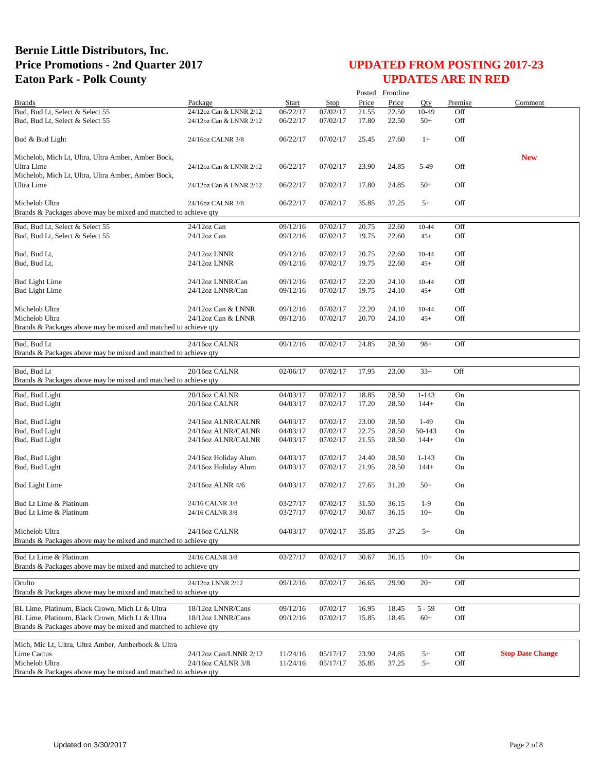|                                                                                                                    |                         |          |          |       | Posted Frontline |           |            |                         |
|--------------------------------------------------------------------------------------------------------------------|-------------------------|----------|----------|-------|------------------|-----------|------------|-------------------------|
| <b>Brands</b>                                                                                                      | Package                 | Start    | Stop     | Price | Price            | Oty       | Premise    | Comment                 |
| Bud, Bud Lt, Select & Select 55                                                                                    | 24/12oz Can & LNNR 2/12 | 06/22/17 | 07/02/17 | 21.55 | 22.50            | 10-49     | Off        |                         |
| Bud, Bud Lt, Select & Select 55                                                                                    | 24/12oz Can & LNNR 2/12 | 06/22/17 | 07/02/17 | 17.80 | 22.50            | $50+$     | Off        |                         |
| Bud & Bud Light                                                                                                    | 24/16oz CALNR 3/8       | 06/22/17 | 07/02/17 | 25.45 | 27.60            | $1+$      | Off        |                         |
| Michelob, Mich Lt, Ultra, Ultra Amber, Amber Bock,                                                                 |                         |          |          |       |                  |           |            | <b>New</b>              |
| Ultra Lime                                                                                                         | 24/12oz Can & LNNR 2/12 | 06/22/17 | 07/02/17 | 23.90 | 24.85            | 5-49      | Off        |                         |
| Michelob, Mich Lt, Ultra, Ultra Amber, Amber Bock,                                                                 |                         |          |          |       |                  |           |            |                         |
| Ultra Lime                                                                                                         | 24/12oz Can & LNNR 2/12 | 06/22/17 | 07/02/17 | 17.80 | 24.85            | $50+$     | Off        |                         |
| Michelob Ultra                                                                                                     | 24/16oz CALNR 3/8       | 06/22/17 | 07/02/17 | 35.85 | 37.25            | $5+$      | Off        |                         |
| Brands & Packages above may be mixed and matched to achieve qty                                                    |                         |          |          |       |                  |           |            |                         |
|                                                                                                                    |                         |          | 07/02/17 |       |                  |           |            |                         |
| Bud, Bud Lt, Select & Select 55                                                                                    | 24/12oz Can             | 09/12/16 | 07/02/17 | 20.75 | 22.60            | 10-44     | Off<br>Off |                         |
| Bud, Bud Lt, Select & Select 55                                                                                    | $24/12$ oz Can          | 09/12/16 |          | 19.75 | 22.60            | $45+$     |            |                         |
| Bud, Bud Lt,                                                                                                       | 24/12oz LNNR            | 09/12/16 | 07/02/17 | 20.75 | 22.60            | 10-44     | Off        |                         |
| Bud, Bud Lt,                                                                                                       | 24/12oz LNNR            | 09/12/16 | 07/02/17 | 19.75 | 22.60            | $45+$     | Off        |                         |
| <b>Bud Light Lime</b>                                                                                              | 24/12oz LNNR/Can        | 09/12/16 | 07/02/17 | 22.20 | 24.10            | 10-44     | Off        |                         |
| <b>Bud Light Lime</b>                                                                                              | 24/12oz LNNR/Can        | 09/12/16 | 07/02/17 | 19.75 | 24.10            | $45+$     | Off        |                         |
|                                                                                                                    |                         |          |          |       |                  |           |            |                         |
| Michelob Ultra                                                                                                     | 24/12oz Can & LNNR      | 09/12/16 | 07/02/17 | 22.20 | 24.10            | 10-44     | Off        |                         |
| Michelob Ultra                                                                                                     | 24/12oz Can & LNNR      | 09/12/16 | 07/02/17 | 20.70 | 24.10            | $45+$     | Off        |                         |
| Brands & Packages above may be mixed and matched to achieve qty                                                    |                         |          |          |       |                  |           |            |                         |
| Bud, Bud Lt                                                                                                        | 24/16oz CALNR           | 09/12/16 | 07/02/17 | 24.85 | 28.50            | $98+$     | Off        |                         |
| Brands & Packages above may be mixed and matched to achieve qty                                                    |                         |          |          |       |                  |           |            |                         |
|                                                                                                                    |                         |          |          |       |                  |           |            |                         |
| Bud, Bud Lt                                                                                                        | 20/16oz CALNR           | 02/06/17 | 07/02/17 | 17.95 | 23.00            | $33+$     | Off        |                         |
| Brands & Packages above may be mixed and matched to achieve qty                                                    |                         |          |          |       |                  |           |            |                         |
| Bud, Bud Light                                                                                                     | 20/16oz CALNR           | 04/03/17 | 07/02/17 | 18.85 | 28.50            | $1 - 143$ | On         |                         |
| Bud, Bud Light                                                                                                     | 20/16oz CALNR           | 04/03/17 | 07/02/17 | 17.20 | 28.50            | $144+$    | On         |                         |
| Bud, Bud Light                                                                                                     | 24/16oz ALNR/CALNR      | 04/03/17 | 07/02/17 | 23.00 | 28.50            | $1-49$    | On         |                         |
| Bud, Bud Light                                                                                                     | 24/16oz ALNR/CALNR      | 04/03/17 | 07/02/17 | 22.75 | 28.50            | 50-143    | On         |                         |
| Bud, Bud Light                                                                                                     | 24/16oz ALNR/CALNR      | 04/03/17 | 07/02/17 | 21.55 | 28.50            | $144+$    | On         |                         |
|                                                                                                                    |                         |          |          |       |                  |           |            |                         |
| Bud, Bud Light                                                                                                     | 24/16oz Holiday Alum    | 04/03/17 | 07/02/17 | 24.40 | 28.50            | $1 - 143$ | On         |                         |
| Bud, Bud Light                                                                                                     | 24/16oz Holiday Alum    | 04/03/17 | 07/02/17 | 21.95 | 28.50            | $144+$    | On         |                         |
| <b>Bud Light Lime</b>                                                                                              | 24/16oz ALNR 4/6        | 04/03/17 | 07/02/17 | 27.65 | 31.20            | $50+$     | On         |                         |
|                                                                                                                    |                         |          |          |       |                  |           |            |                         |
| Bud Lt Lime & Platinum                                                                                             | 24/16 CALNR 3/8         | 03/27/17 | 07/02/17 | 31.50 | 36.15            | $1-9$     | On         |                         |
| Bud Lt Lime & Platinum                                                                                             | 24/16 CALNR 3/8         | 03/27/17 | 07/02/17 | 30.67 | 36.15            | $10+$     | On         |                         |
| Michelob Ultra                                                                                                     | 24/16oz CALNR           | 04/03/17 | 07/02/17 | 35.85 | 37.25            | $5+$      | On         |                         |
| Brands & Packages above may be mixed and matched to achieve qty                                                    |                         |          |          |       |                  |           |            |                         |
|                                                                                                                    |                         |          |          |       |                  |           |            |                         |
| Bud Lt Lime & Platinum                                                                                             | 24/16 CALNR 3/8         | 03/27/17 | 07/02/17 | 30.67 | 36.15            | $10+$     | On         |                         |
| Brands & Packages above may be mixed and matched to achieve qty                                                    |                         |          |          |       |                  |           |            |                         |
| Oculto                                                                                                             | 24/12oz LNNR 2/12       | 09/12/16 | 07/02/17 | 26.65 | 29.90            | $20+$     | Off        |                         |
| Brands & Packages above may be mixed and matched to achieve gty                                                    |                         |          |          |       |                  |           |            |                         |
|                                                                                                                    |                         |          |          |       |                  |           |            |                         |
| BL Lime, Platinum, Black Crown, Mich Lt & Ultra                                                                    | 18/12oz LNNR/Cans       | 09/12/16 | 07/02/17 | 16.95 | 18.45            | $5 - 59$  | Off        |                         |
| BL Lime, Platinum, Black Crown, Mich Lt & Ultra<br>Brands & Packages above may be mixed and matched to achieve qty | 18/12oz LNNR/Cans       | 09/12/16 | 07/02/17 | 15.85 | 18.45            | $60+$     | Off        |                         |
|                                                                                                                    |                         |          |          |       |                  |           |            |                         |
| Mich, Mic Lt, Ultra, Ultra Amber, Amberbock & Ultra                                                                |                         |          |          |       |                  |           |            |                         |
| Lime Cactus                                                                                                        | 24/12oz Can/LNNR 2/12   | 11/24/16 | 05/17/17 | 23.90 | 24.85            | $5+$      | Off        | <b>Stop Date Change</b> |
| Michelob Ultra                                                                                                     | 24/16oz CALNR 3/8       | 11/24/16 | 05/17/17 | 35.85 | 37.25            | $5+$      | Off        |                         |
| Brands & Packages above may be mixed and matched to achieve qty                                                    |                         |          |          |       |                  |           |            |                         |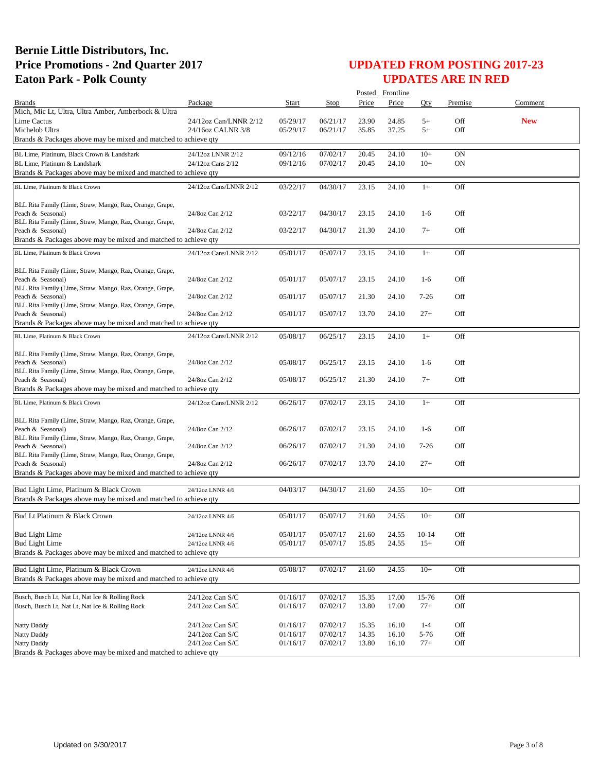|                                                                               |                        |          |          |       | Posted Frontline |           |            |            |
|-------------------------------------------------------------------------------|------------------------|----------|----------|-------|------------------|-----------|------------|------------|
| <b>Brands</b>                                                                 | Package                | Start    | Stop     | Price | Price            | Oty       | Premise    | Comment    |
| Mich, Mic Lt, Ultra, Ultra Amber, Amberbock & Ultra                           |                        |          |          |       |                  |           |            |            |
| Lime Cactus                                                                   | 24/12oz Can/LNNR 2/12  | 05/29/17 | 06/21/17 | 23.90 | 24.85            | $5+$      | Off        | <b>New</b> |
| Michelob Ultra                                                                | 24/16oz CALNR 3/8      | 05/29/17 | 06/21/17 | 35.85 | 37.25            | $5+$      | Off        |            |
| Brands & Packages above may be mixed and matched to achieve qty               |                        |          |          |       |                  |           |            |            |
| BL Lime, Platinum, Black Crown & Landshark                                    | 24/12oz LNNR 2/12      | 09/12/16 | 07/02/17 | 20.45 | 24.10            | $10+$     | ON         |            |
| BL Lime, Platinum & Landshark                                                 | 24/12oz Cans 2/12      | 09/12/16 | 07/02/17 | 20.45 | 24.10            | $10+$     | <b>ON</b>  |            |
| Brands & Packages above may be mixed and matched to achieve qty               |                        |          |          |       |                  |           |            |            |
| BL Lime, Platinum & Black Crown                                               | 24/12oz Cans/LNNR 2/12 | 03/22/17 | 04/30/17 | 23.15 | 24.10            | $1+$      | Off        |            |
|                                                                               |                        |          |          |       |                  |           |            |            |
| BLL Rita Family (Lime, Straw, Mango, Raz, Orange, Grape,                      |                        |          |          |       |                  |           |            |            |
| Peach & Seasonal)                                                             | 24/8oz Can 2/12        | 03/22/17 | 04/30/17 | 23.15 | 24.10            | $1-6$     | Off        |            |
| BLL Rita Family (Lime, Straw, Mango, Raz, Orange, Grape,                      |                        |          |          |       |                  |           |            |            |
| Peach & Seasonal)                                                             | 24/8oz Can 2/12        | 03/22/17 | 04/30/17 | 21.30 | 24.10            | $7+$      | Off        |            |
| Brands & Packages above may be mixed and matched to achieve qty               |                        |          |          |       |                  |           |            |            |
| BL Lime, Platinum & Black Crown                                               | 24/12oz Cans/LNNR 2/12 | 05/01/17 | 05/07/17 | 23.15 | 24.10            | $1+$      | Off        |            |
|                                                                               |                        |          |          |       |                  |           |            |            |
| BLL Rita Family (Lime, Straw, Mango, Raz, Orange, Grape,                      |                        |          |          |       |                  |           |            |            |
| Peach & Seasonal)                                                             | 24/8oz Can 2/12        | 05/01/17 | 05/07/17 | 23.15 | 24.10            | $1-6$     | Off        |            |
| BLL Rita Family (Lime, Straw, Mango, Raz, Orange, Grape,                      | 24/8oz Can 2/12        | 05/01/17 | 05/07/17 | 21.30 | 24.10            | $7 - 26$  | Off        |            |
| Peach & Seasonal)<br>BLL Rita Family (Lime, Straw, Mango, Raz, Orange, Grape, |                        |          |          |       |                  |           |            |            |
| Peach & Seasonal)                                                             | 24/8oz Can 2/12        | 05/01/17 | 05/07/17 | 13.70 | 24.10            | $27+$     | Off        |            |
| Brands & Packages above may be mixed and matched to achieve qty               |                        |          |          |       |                  |           |            |            |
|                                                                               |                        |          |          |       |                  |           |            |            |
| BL Lime, Platinum & Black Crown                                               | 24/12oz Cans/LNNR 2/12 | 05/08/17 | 06/25/17 | 23.15 | 24.10            | $1+$      | Off        |            |
| BLL Rita Family (Lime, Straw, Mango, Raz, Orange, Grape,                      |                        |          |          |       |                  |           |            |            |
| Peach & Seasonal)                                                             | 24/8oz Can 2/12        | 05/08/17 | 06/25/17 | 23.15 | 24.10            | $1-6$     | Off        |            |
| BLL Rita Family (Lime, Straw, Mango, Raz, Orange, Grape,                      |                        |          |          |       |                  |           |            |            |
| Peach & Seasonal)                                                             | 24/8oz Can 2/12        | 05/08/17 | 06/25/17 | 21.30 | 24.10            | $7+$      | Off        |            |
| Brands & Packages above may be mixed and matched to achieve qty               |                        |          |          |       |                  |           |            |            |
| BL Lime, Platinum & Black Crown                                               | 24/12oz Cans/LNNR 2/12 | 06/26/17 | 07/02/17 | 23.15 | 24.10            | $1+$      | Off        |            |
|                                                                               |                        |          |          |       |                  |           |            |            |
| BLL Rita Family (Lime, Straw, Mango, Raz, Orange, Grape,                      |                        |          |          |       |                  |           |            |            |
| Peach & Seasonal)                                                             | 24/8oz Can 2/12        | 06/26/17 | 07/02/17 | 23.15 | 24.10            | $1-6$     | Off        |            |
| BLL Rita Family (Lime, Straw, Mango, Raz, Orange, Grape,                      |                        |          |          |       |                  |           |            |            |
| Peach & Seasonal)                                                             | 24/8oz Can 2/12        | 06/26/17 | 07/02/17 | 21.30 | 24.10            | $7 - 26$  | Off        |            |
| BLL Rita Family (Lime, Straw, Mango, Raz, Orange, Grape,<br>Peach & Seasonal) | 24/8oz Can 2/12        | 06/26/17 | 07/02/17 | 13.70 | 24.10            | $27+$     | Off        |            |
| Brands & Packages above may be mixed and matched to achieve qty               |                        |          |          |       |                  |           |            |            |
|                                                                               |                        |          |          |       |                  |           |            |            |
| Bud Light Lime, Platinum & Black Crown                                        | 24/12oz LNNR 4/6       | 04/03/17 | 04/30/17 | 21.60 | 24.55            | $10+$     | Off        |            |
| Brands & Packages above may be mixed and matched to achieve qty               |                        |          |          |       |                  |           |            |            |
|                                                                               |                        |          |          |       |                  |           |            |            |
| Bud Lt Platinum & Black Crown                                                 | 24/12oz LNNR 4/6       | 05/01/17 | 05/07/17 | 21.60 | 24.55            | $10+$     | Off        |            |
|                                                                               |                        |          |          |       |                  |           |            |            |
| <b>Bud Light Lime</b><br><b>Bud Light Lime</b>                                | 24/12oz LNNR 4/6       | 05/01/17 | 05/07/17 | 21.60 | 24.55            | $10 - 14$ | Off<br>Off |            |
| Brands & Packages above may be mixed and matched to achieve qty               | 24/12oz LNNR 4/6       | 05/01/17 | 05/07/17 | 15.85 | 24.55            | $15+$     |            |            |
|                                                                               |                        |          |          |       |                  |           |            |            |
| Bud Light Lime, Platinum & Black Crown                                        | 24/12oz LNNR 4/6       | 05/08/17 | 07/02/17 | 21.60 | 24.55            | $10+$     | Off        |            |
| Brands & Packages above may be mixed and matched to achieve qty               |                        |          |          |       |                  |           |            |            |
|                                                                               |                        |          |          |       |                  |           |            |            |
| Busch, Busch Lt, Nat Lt, Nat Ice & Rolling Rock                               | 24/12oz Can S/C        | 01/16/17 | 07/02/17 | 15.35 | 17.00            | 15-76     | Off        |            |
| Busch, Busch Lt, Nat Lt, Nat Ice & Rolling Rock                               | 24/12oz Can S/C        | 01/16/17 | 07/02/17 | 13.80 | 17.00            | $77+$     | Off        |            |
|                                                                               |                        |          |          |       |                  |           |            |            |
| Natty Daddy                                                                   | 24/12oz Can S/C        | 01/16/17 | 07/02/17 | 15.35 | 16.10            | $1 - 4$   | Off        |            |
| Natty Daddy                                                                   | $24/12$ oz Can S/C     | 01/16/17 | 07/02/17 | 14.35 | 16.10            | 5-76      | Off        |            |
| Natty Daddy                                                                   | 24/12oz Can S/C        | 01/16/17 | 07/02/17 | 13.80 | 16.10            | $77+$     | Off        |            |
| Brands & Packages above may be mixed and matched to achieve qty               |                        |          |          |       |                  |           |            |            |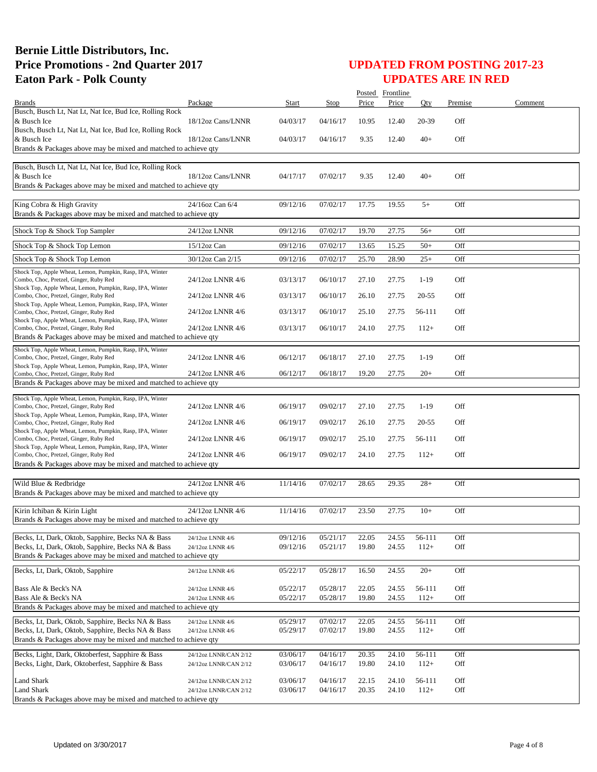|                                                                                                                                                                           |                                                |                      |                      |                | Posted Frontline |                  |            |         |
|---------------------------------------------------------------------------------------------------------------------------------------------------------------------------|------------------------------------------------|----------------------|----------------------|----------------|------------------|------------------|------------|---------|
| <b>Brands</b>                                                                                                                                                             | Package                                        | Start                | Stop                 | Price          | Price            | Oty              | Premise    | Comment |
| Busch, Busch Lt, Nat Lt, Nat Ice, Bud Ice, Rolling Rock<br>& Busch Ice<br>Busch, Busch Lt, Nat Lt, Nat Ice, Bud Ice, Rolling Rock                                         | 18/12oz Cans/LNNR                              | 04/03/17             | 04/16/17             | 10.95          | 12.40            | 20-39            | Off        |         |
| & Busch Ice<br>Brands & Packages above may be mixed and matched to achieve qty                                                                                            | 18/12oz Cans/LNNR                              | 04/03/17             | 04/16/17             | 9.35           | 12.40            | $40+$            | Off        |         |
| Busch, Busch Lt, Nat Lt, Nat Ice, Bud Ice, Rolling Rock<br>& Busch Ice                                                                                                    | 18/12oz Cans/LNNR                              | 04/17/17             | 07/02/17             | 9.35           | 12.40            | $40+$            | Off        |         |
| Brands & Packages above may be mixed and matched to achieve qty                                                                                                           |                                                |                      |                      |                |                  |                  |            |         |
| King Cobra & High Gravity<br>Brands & Packages above may be mixed and matched to achieve qty                                                                              | 24/16oz Can 6/4                                | 09/12/16             | 07/02/17             | 17.75          | 19.55            | $5+$             | Off        |         |
| Shock Top & Shock Top Sampler                                                                                                                                             | 24/12oz LNNR                                   | 09/12/16             | 07/02/17             | 19.70          | 27.75            | $56+$            | Off        |         |
| Shock Top & Shock Top Lemon                                                                                                                                               | 15/12oz Can                                    | 09/12/16             | 07/02/17             | 13.65          | 15.25            | $50+$            | Off        |         |
| Shock Top & Shock Top Lemon                                                                                                                                               | 30/12oz Can 2/15                               | 09/12/16             | 07/02/17             | 25.70          | 28.90            | $25+$            | Off        |         |
| Shock Top, Apple Wheat, Lemon, Pumpkin, Rasp, IPA, Winter<br>Combo, Choc, Pretzel, Ginger, Ruby Red                                                                       | 24/12oz LNNR 4/6                               | 03/13/17             | 06/10/17             | 27.10          | 27.75            | $1-19$           | Off        |         |
| Shock Top, Apple Wheat, Lemon, Pumpkin, Rasp, IPA, Winter<br>Combo, Choc, Pretzel, Ginger, Ruby Red                                                                       | 24/12oz LNNR 4/6                               | 03/13/17             | 06/10/17             | 26.10          | 27.75            | $20 - 55$        | Off        |         |
| Shock Top, Apple Wheat, Lemon, Pumpkin, Rasp, IPA, Winter<br>Combo, Choc, Pretzel, Ginger, Ruby Red                                                                       | 24/12oz LNNR 4/6                               | 03/13/17             | 06/10/17             | 25.10          | 27.75            | 56-111           | Off        |         |
| Shock Top, Apple Wheat, Lemon, Pumpkin, Rasp, IPA, Winter<br>Combo, Choc, Pretzel, Ginger, Ruby Red<br>Brands & Packages above may be mixed and matched to achieve qty    | 24/12oz LNNR 4/6                               | 03/13/17             | 06/10/17             | 24.10          | 27.75            | $112+$           | Off        |         |
| Shock Top, Apple Wheat, Lemon, Pumpkin, Rasp, IPA, Winter<br>Combo, Choc, Pretzel, Ginger, Ruby Red                                                                       | 24/12oz LNNR 4/6                               | 06/12/17             | 06/18/17             | 27.10          | 27.75            | $1-19$           | Off        |         |
| Shock Top, Apple Wheat, Lemon, Pumpkin, Rasp, IPA, Winter<br>Combo, Choc, Pretzel, Ginger, Ruby Red                                                                       | 24/12oz LNNR 4/6                               | 06/12/17             | 06/18/17             | 19.20          | 27.75            | $20+$            | Off        |         |
| Brands & Packages above may be mixed and matched to achieve qty                                                                                                           |                                                |                      |                      |                |                  |                  |            |         |
| Shock Top, Apple Wheat, Lemon, Pumpkin, Rasp, IPA, Winter<br>Combo, Choc, Pretzel, Ginger, Ruby Red<br>Shock Top, Apple Wheat, Lemon, Pumpkin, Rasp, IPA, Winter          | 24/12oz LNNR 4/6                               | 06/19/17             | 09/02/17             | 27.10          | 27.75            | $1-19$           | Off        |         |
| Combo, Choc, Pretzel, Ginger, Ruby Red                                                                                                                                    | 24/12oz LNNR 4/6                               | 06/19/17             | 09/02/17             | 26.10          | 27.75            | $20 - 55$        | Off        |         |
| Shock Top, Apple Wheat, Lemon, Pumpkin, Rasp, IPA, Winter<br>Combo, Choc, Pretzel, Ginger, Ruby Red<br>Shock Top, Apple Wheat, Lemon, Pumpkin, Rasp, IPA, Winter          | 24/12oz LNNR 4/6                               | 06/19/17             | 09/02/17             | 25.10          | 27.75            | 56-111           | Off        |         |
| Combo, Choc, Pretzel, Ginger, Ruby Red                                                                                                                                    | 24/12oz LNNR 4/6                               | 06/19/17             | 09/02/17             | 24.10          | 27.75            | $112+$           | Off        |         |
| Brands & Packages above may be mixed and matched to achieve qty                                                                                                           |                                                |                      |                      |                |                  |                  |            |         |
| Wild Blue & Redbridge<br>Brands & Packages above may be mixed and matched to achieve qty                                                                                  | 24/12oz LNNR 4/6                               | 11/14/16             | 07/02/17             | 28.65          | 29.35            | $28+$            | Off        |         |
| Kirin Ichiban & Kirin Light<br>Brands & Packages above may be mixed and matched to achieve qty                                                                            | 24/12oz LNNR 4/6                               | 11/14/16             | 07/02/17             | 23.50          | 27.75            | $10+$            | Off        |         |
| Becks, Lt, Dark, Oktob, Sapphire, Becks NA & Bass                                                                                                                         | 24/12oz LNNR 4/6                               | 09/12/16             | 05/21/17             | 22.05          | 24.55            | 56-111           | Off        |         |
| Becks, Lt, Dark, Oktob, Sapphire, Becks NA & Bass<br>Brands & Packages above may be mixed and matched to achieve qty                                                      | 24/12oz LNNR 4/6                               | 09/12/16             | 05/21/17             | 19.80          | 24.55            | $112+$           | Off        |         |
| Becks, Lt, Dark, Oktob, Sapphire                                                                                                                                          | 24/12oz LNNR 4/6                               | 05/22/17             | 05/28/17             | 16.50          | 24.55            | $20+$            | Off        |         |
| Bass Ale & Beck's NA                                                                                                                                                      | 24/12oz LNNR 4/6                               | 05/22/17             | 05/28/17             | 22.05          | 24.55            | 56-111           | Off        |         |
| Bass Ale & Beck's NA                                                                                                                                                      | 24/12oz LNNR 4/6                               | 05/22/17             | 05/28/17             | 19.80          | 24.55            | $112+$           | Off        |         |
| Brands & Packages above may be mixed and matched to achieve qty                                                                                                           |                                                |                      |                      |                |                  |                  |            |         |
| Becks, Lt, Dark, Oktob, Sapphire, Becks NA & Bass<br>Becks, Lt, Dark, Oktob, Sapphire, Becks NA & Bass<br>Brands & Packages above may be mixed and matched to achieve qty | 24/12oz LNNR 4/6<br>24/12oz LNNR 4/6           | 05/29/17<br>05/29/17 | 07/02/17<br>07/02/17 | 22.05<br>19.80 | 24.55<br>24.55   | 56-111<br>$112+$ | Off<br>Off |         |
|                                                                                                                                                                           |                                                |                      |                      |                |                  |                  |            |         |
| Becks, Light, Dark, Oktoberfest, Sapphire & Bass<br>Becks, Light, Dark, Oktoberfest, Sapphire & Bass                                                                      | 24/12oz LNNR/CAN 2/12<br>24/12oz LNNR/CAN 2/12 | 03/06/17<br>03/06/17 | 04/16/17<br>04/16/17 | 20.35<br>19.80 | 24.10<br>24.10   | 56-111<br>$112+$ | Off<br>Off |         |
| Land Shark                                                                                                                                                                | 24/12oz LNNR/CAN 2/12                          | 03/06/17             | 04/16/17             | 22.15          | 24.10            | 56-111           | Off        |         |
| <b>Land Shark</b><br>Brands & Packages above may be mixed and matched to achieve qty                                                                                      | 24/12oz LNNR/CAN 2/12                          | 03/06/17             | 04/16/17             | 20.35          | 24.10            | $112+$           | Off        |         |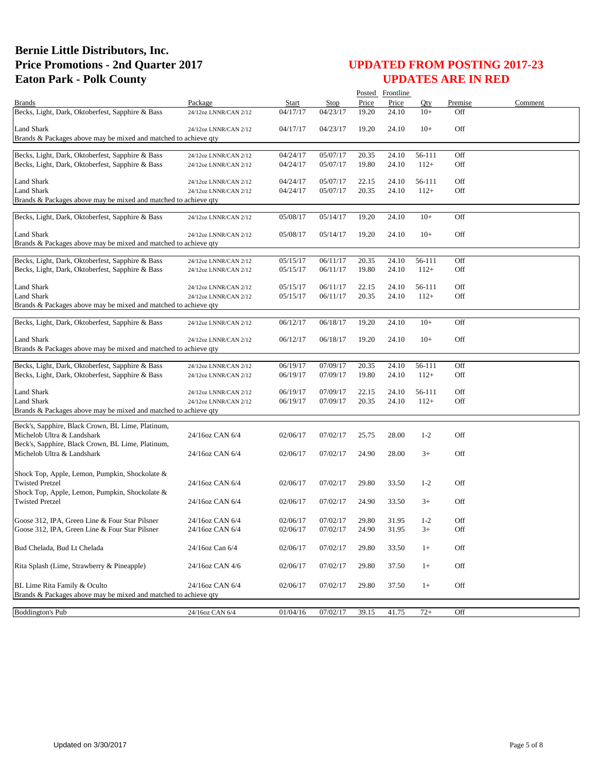|                                                                                                      |                                                |                      |                      |                | Posted Frontline |                  |            |         |
|------------------------------------------------------------------------------------------------------|------------------------------------------------|----------------------|----------------------|----------------|------------------|------------------|------------|---------|
| <b>Brands</b>                                                                                        | Package                                        | Start                | Stop                 | Price          | Price            | Oty              | Premise    | Comment |
| Becks, Light, Dark, Oktoberfest, Sapphire & Bass                                                     | 24/12oz LNNR/CAN 2/12                          | 04/17/17             | 04/23/17             | 19.20          | 24.10            | $10+$            | Off        |         |
| <b>Land Shark</b>                                                                                    | 24/12oz LNNR/CAN 2/12                          | 04/17/17             | 04/23/17             | 19.20          | 24.10            | $10+$            | Off        |         |
| Brands & Packages above may be mixed and matched to achieve qty                                      |                                                |                      |                      |                |                  |                  |            |         |
|                                                                                                      |                                                |                      |                      |                |                  |                  |            |         |
| Becks, Light, Dark, Oktoberfest, Sapphire & Bass                                                     | 24/12oz LNNR/CAN 2/12                          | 04/24/17             | 05/07/17             | 20.35          | 24.10            | 56-111           | Off        |         |
| Becks, Light, Dark, Oktoberfest, Sapphire & Bass                                                     | 24/12oz LNNR/CAN 2/12                          | 04/24/17             | 05/07/17             | 19.80          | 24.10            | $112+$           | Off        |         |
| Land Shark                                                                                           | 24/12oz LNNR/CAN 2/12                          | 04/24/17             | 05/07/17             | 22.15          | 24.10            | 56-111           | Off        |         |
| <b>Land Shark</b>                                                                                    | 24/12oz LNNR/CAN 2/12                          | 04/24/17             | 05/07/17             | 20.35          | 24.10            | $112+$           | Off        |         |
| Brands & Packages above may be mixed and matched to achieve qty                                      |                                                |                      |                      |                |                  |                  |            |         |
| Becks, Light, Dark, Oktoberfest, Sapphire & Bass                                                     | 24/12oz LNNR/CAN 2/12                          | 05/08/17             | 05/14/17             | 19.20          | 24.10            | $10+$            | Off        |         |
|                                                                                                      |                                                |                      |                      |                |                  |                  |            |         |
| <b>Land Shark</b>                                                                                    | 24/12oz LNNR/CAN 2/12                          | 05/08/17             | 05/14/17             | 19.20          | 24.10            | $10+$            | Off        |         |
| Brands & Packages above may be mixed and matched to achieve qty                                      |                                                |                      |                      |                |                  |                  |            |         |
| Becks, Light, Dark, Oktoberfest, Sapphire & Bass                                                     | 24/12oz LNNR/CAN 2/12                          | 05/15/17             | 06/11/17             | 20.35          | 24.10            | 56-111           | Off        |         |
| Becks, Light, Dark, Oktoberfest, Sapphire & Bass                                                     | 24/12oz LNNR/CAN 2/12                          | 05/15/17             | 06/11/17             | 19.80          | 24.10            | $112+$           | Off        |         |
|                                                                                                      |                                                |                      |                      |                |                  |                  |            |         |
| Land Shark                                                                                           | 24/12oz LNNR/CAN 2/12                          | 05/15/17             | 06/11/17             | 22.15          | 24.10            | 56-111           | Off        |         |
| <b>Land Shark</b>                                                                                    | 24/12oz LNNR/CAN 2/12                          | 05/15/17             | 06/11/17             | 20.35          | 24.10            | $112+$           | Off        |         |
| Brands & Packages above may be mixed and matched to achieve qty                                      |                                                |                      |                      |                |                  |                  |            |         |
| Becks, Light, Dark, Oktoberfest, Sapphire & Bass                                                     | 24/12oz LNNR/CAN 2/12                          | 06/12/17             | 06/18/17             | 19.20          | 24.10            | $10+$            | Off        |         |
| <b>Land Shark</b>                                                                                    | 24/12oz LNNR/CAN 2/12                          | 06/12/17             | 06/18/17             | 19.20          | 24.10            | $10+$            | Off        |         |
| Brands & Packages above may be mixed and matched to achieve qty                                      |                                                |                      |                      |                |                  |                  |            |         |
|                                                                                                      |                                                |                      |                      |                |                  |                  |            |         |
| Becks, Light, Dark, Oktoberfest, Sapphire & Bass<br>Becks, Light, Dark, Oktoberfest, Sapphire & Bass | 24/12oz LNNR/CAN 2/12<br>24/12oz LNNR/CAN 2/12 | 06/19/17<br>06/19/17 | 07/09/17<br>07/09/17 | 20.35<br>19.80 | 24.10<br>24.10   | 56-111<br>$112+$ | Off<br>Off |         |
|                                                                                                      |                                                |                      |                      |                |                  |                  |            |         |
| <b>Land Shark</b>                                                                                    | 24/12oz LNNR/CAN 2/12                          | 06/19/17             | 07/09/17             | 22.15          | 24.10            | 56-111           | Off        |         |
| <b>Land Shark</b>                                                                                    | 24/12oz LNNR/CAN 2/12                          | 06/19/17             | 07/09/17             | 20.35          | 24.10            | $112+$           | Off        |         |
| Brands & Packages above may be mixed and matched to achieve qty                                      |                                                |                      |                      |                |                  |                  |            |         |
| Beck's, Sapphire, Black Crown, BL Lime, Platinum,                                                    |                                                |                      |                      |                |                  |                  |            |         |
| Michelob Ultra & Landshark                                                                           | 24/16oz CAN 6/4                                | 02/06/17             | 07/02/17             | 25.75          | 28.00            | $1 - 2$          | Off        |         |
| Beck's, Sapphire, Black Crown, BL Lime, Platinum,                                                    |                                                |                      |                      |                |                  |                  |            |         |
| Michelob Ultra & Landshark                                                                           | 24/16oz CAN 6/4                                | 02/06/17             | 07/02/17             | 24.90          | 28.00            | $3+$             | Off        |         |
| Shock Top, Apple, Lemon, Pumpkin, Shockolate &                                                       |                                                |                      |                      |                |                  |                  |            |         |
| <b>Twisted Pretzel</b>                                                                               | 24/16oz CAN 6/4                                | 02/06/17             | 07/02/17             | 29.80          | 33.50            | $1-2$            | Off        |         |
| Shock Top, Apple, Lemon, Pumpkin, Shockolate &                                                       |                                                |                      |                      |                |                  |                  |            |         |
| <b>Twisted Pretzel</b>                                                                               | 24/16oz CAN 6/4                                | 02/06/17             | 07/02/17             | 24.90          | 33.50            | $3+$             | Off        |         |
|                                                                                                      |                                                |                      |                      |                |                  |                  |            |         |
| Goose 312, IPA, Green Line & Four Star Pilsner                                                       | 24/16oz CAN 6/4<br>24/16oz CAN 6/4             | 02/06/17<br>02/06/17 | 07/02/17             | 29.80          | 31.95            | $1-2$            | Off        |         |
| Goose 312, IPA, Green Line & Four Star Pilsner                                                       |                                                |                      | 07/02/17             | 24.90          | 31.95            | $3+$             | Off        |         |
| Bud Chelada, Bud Lt Chelada                                                                          | 24/16oz Can 6/4                                | 02/06/17             | 07/02/17             | 29.80          | 33.50            | $1+$             | Off        |         |
| Rita Splash (Lime, Strawberry & Pineapple)                                                           | 24/16oz CAN 4/6                                | 02/06/17             | 07/02/17             | 29.80          | 37.50            | $1+$             | Off        |         |
|                                                                                                      |                                                |                      |                      |                |                  |                  |            |         |
| BL Lime Rita Family & Oculto                                                                         | 24/16oz CAN 6/4                                | 02/06/17             | 07/02/17             | 29.80          | 37.50            | $1+$             | Off        |         |
| Brands & Packages above may be mixed and matched to achieve qty                                      |                                                |                      |                      |                |                  |                  |            |         |
|                                                                                                      |                                                |                      |                      |                |                  |                  |            |         |
| <b>Boddington's Pub</b>                                                                              | 24/16oz CAN 6/4                                | 01/04/16             | 07/02/17             | 39.15          | 41.75            | $72+$            | Off        |         |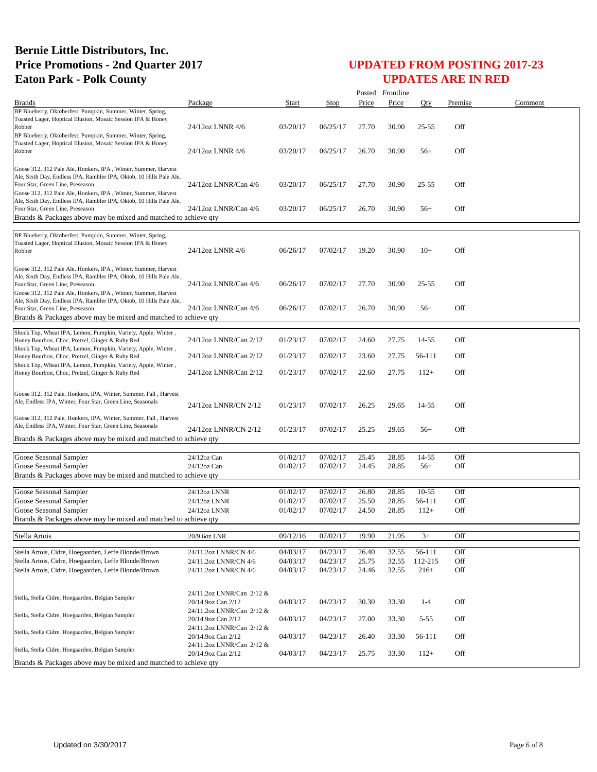|                                                                                                                                                                                                                                             |                                                 |                      |                      |                | Posted Frontline |                  |            |         |
|---------------------------------------------------------------------------------------------------------------------------------------------------------------------------------------------------------------------------------------------|-------------------------------------------------|----------------------|----------------------|----------------|------------------|------------------|------------|---------|
| <b>Brands</b>                                                                                                                                                                                                                               | Package                                         | Start                | Stop                 | Price          | Price            | Qty              | Premise    | Comment |
| BP Blueberry, Oktoberfest, Pumpkin, Summer, Winter, Spring,<br>Toasted Lager, Hoptical Illusion, Mosaic Session IPA & Honey<br>Robber<br>BP Blueberry, Oktoberfest, Pumpkin, Summer, Winter, Spring,                                        | 24/12oz LNNR 4/6                                | 03/20/17             | 06/25/17             | 27.70          | 30.90            | $25 - 55$        | Off        |         |
| Toasted Lager, Hoptical Illusion, Mosaic Session IPA & Honey<br>Robber                                                                                                                                                                      | 24/12oz LNNR 4/6                                | 03/20/17             | 06/25/17             | 26.70          | 30.90            | $56+$            | Off        |         |
| Goose 312, 312 Pale Ale, Honkers, IPA, Winter, Summer, Harvest<br>Ale, Sixth Day, Endless IPA, Rambler IPA, Oktob, 10 Hills Pale Ale,<br>Four Star, Green Line, Preseason                                                                   | 24/12oz LNNR/Can 4/6                            | 03/20/17             | 06/25/17             | 27.70          | 30.90            | $25 - 55$        | Off        |         |
| Goose 312, 312 Pale Ale, Honkers, IPA, Winter, Summer, Harvest<br>Ale, Sixth Day, Endless IPA, Rambler IPA, Oktob, 10 Hills Pale Ale,<br>Four Star, Green Line, Preseason                                                                   | 24/12oz LNNR/Can 4/6                            | 03/20/17             | 06/25/17             | 26.70          | 30.90            | $56+$            | Off        |         |
| Brands & Packages above may be mixed and matched to achieve qty                                                                                                                                                                             |                                                 |                      |                      |                |                  |                  |            |         |
| BP Blueberry, Oktoberfest, Pumpkin, Summer, Winter, Spring,<br>Toasted Lager, Hoptical Illusion, Mosaic Session IPA & Honey<br>Robber                                                                                                       | 24/12oz LNNR 4/6                                | 06/26/17             | 07/02/17             | 19.20          | 30.90            | $10+$            | Off        |         |
| Goose 312, 312 Pale Ale, Honkers, IPA, Winter, Summer, Harvest<br>Ale, Sixth Day, Endless IPA, Rambler IPA, Oktob, 10 Hills Pale Ale,<br>Four Star, Green Line, Preseason<br>Goose 312, 312 Pale Ale, Honkers, IPA, Winter, Summer, Harvest | 24/12oz LNNR/Can 4/6                            | 06/26/17             | 07/02/17             | 27.70          | 30.90            | $25 - 55$        | Off        |         |
| Ale, Sixth Day, Endless IPA, Rambler IPA, Oktob, 10 Hills Pale Ale,<br>Four Star, Green Line, Preseason<br>Brands & Packages above may be mixed and matched to achieve qty                                                                  | 24/12oz LNNR/Can 4/6                            | 06/26/17             | 07/02/17             | 26.70          | 30.90            | $56+$            | Off        |         |
| Shock Top, Wheat IPA, Lemon, Pumpkin, Variety, Apple, Winter,<br>Honey Bourbon, Choc, Pretzel, Ginger & Ruby Red                                                                                                                            | 24/12oz LNNR/Can 2/12                           | 01/23/17             | 07/02/17             | 24.60          | 27.75            | 14-55            | Off        |         |
| Shock Top, Wheat IPA, Lemon, Pumpkin, Variety, Apple, Winter,<br>Honey Bourbon, Choc, Pretzel, Ginger & Ruby Red<br>Shock Top, Wheat IPA, Lemon, Pumpkin, Variety, Apple, Winter,                                                           | 24/12oz LNNR/Can 2/12                           | 01/23/17             | 07/02/17             | 23.60          | 27.75            | 56-111           | Off        |         |
| Honey Bourbon, Choc, Pretzel, Ginger & Ruby Red                                                                                                                                                                                             | 24/12oz LNNR/Can 2/12                           | 01/23/17             | 07/02/17             | 22.60          | 27.75            | $112+$           | Off        |         |
| Goose 312, 312 Pale, Honkers, IPA, Winter, Summer, Fall, Harvest<br>Ale, Endless IPA, Winter, Four Star, Green Line, Seasonals                                                                                                              | 24/12oz LNNR/CN 2/12                            | 01/23/17             | 07/02/17             | 26.25          | 29.65            | 14-55            | Off        |         |
| Goose 312, 312 Pale, Honkers, IPA, Winter, Summer, Fall, Harvest<br>Ale, Endless IPA, Winter, Four Star, Green Line, Seasonals                                                                                                              | 24/12oz LNNR/CN 2/12                            | 01/23/17             | 07/02/17             | 25.25          | 29.65            | $56+$            | Off        |         |
| Brands & Packages above may be mixed and matched to achieve qty                                                                                                                                                                             |                                                 |                      |                      |                |                  |                  |            |         |
| Goose Seasonal Sampler                                                                                                                                                                                                                      | 24/12oz Can                                     | 01/02/17             | 07/02/17             | 25.45          | 28.85            | 14-55            | Off        |         |
| Goose Seasonal Sampler                                                                                                                                                                                                                      | 24/12oz Can                                     | 01/02/17             | 07/02/17             | 24.45          | 28.85            | $56+$            | Off        |         |
| Brands & Packages above may be mixed and matched to achieve qty                                                                                                                                                                             |                                                 |                      |                      |                |                  |                  |            |         |
|                                                                                                                                                                                                                                             |                                                 |                      |                      |                |                  |                  |            |         |
| Goose Seasonal Sampler                                                                                                                                                                                                                      | 24/12oz LNNR                                    | 01/02/17             | 07/02/17             | 26.80          | 28.85            | $10-55$          | Off        |         |
| Goose Seasonal Sampler<br>Goose Seasonal Sampler                                                                                                                                                                                            | 24/12oz LNNR<br>24/12oz LNNR                    | 01/02/17<br>01/02/17 | 07/02/17<br>07/02/17 | 25.50<br>24.50 | 28.85<br>28.85   | 56-111<br>$112+$ | Off<br>Off |         |
| Brands & Packages above may be mixed and matched to achieve qty                                                                                                                                                                             |                                                 |                      |                      |                |                  |                  |            |         |
| Stella Artois                                                                                                                                                                                                                               | 20/9.6oz LNR                                    | 09/12/16             | 07/02/17             | 19.90          | 21.95            | $3+$             | Off        |         |
| Stella Artois, Cidre, Hoegaarden, Leffe Blonde/Brown                                                                                                                                                                                        | 24/11.2oz LNNR/CN 4/6                           | 04/03/17             | 04/23/17             | 26.40          | 32.55            | 56-111           | Off        |         |
| Stella Artois, Cidre, Hoegaarden, Leffe Blonde/Brown                                                                                                                                                                                        | 24/11.2oz LNNR/CN 4/6                           | 04/03/17             | 04/23/17             | 25.75          | 32.55            | 112-215          | Off        |         |
| Stella Artois, Cidre, Hoegaarden, Leffe Blonde/Brown                                                                                                                                                                                        | 24/11.2oz LNNR/CN 4/6                           | 04/03/17             | 04/23/17             | 24.46          | 32.55            | $216+$           | Off        |         |
|                                                                                                                                                                                                                                             |                                                 |                      |                      |                |                  |                  |            |         |
| Stella, Stella Cidre, Hoegaarden, Belgian Sampler                                                                                                                                                                                           | 24/11.2oz LNNR/Can 2/12 &<br>20/14.9oz Can 2/12 | 04/03/17             | 04/23/17             | 30.30          | 33.30            | $1-4$            | Off        |         |
| Stella, Stella Cidre, Hoegaarden, Belgian Sampler                                                                                                                                                                                           | 24/11.2oz LNNR/Can 2/12 &<br>20/14.9oz Can 2/12 | 04/03/17             | 04/23/17             | 27.00          | 33.30            | $5 - 55$         | Off        |         |
| Stella, Stella Cidre, Hoegaarden, Belgian Sampler                                                                                                                                                                                           | 24/11.2oz LNNR/Can 2/12 &<br>20/14.9oz Can 2/12 | 04/03/17             | 04/23/17             | 26.40          | 33.30            | 56-111           | Off        |         |
| Stella, Stella Cidre, Hoegaarden, Belgian Sampler                                                                                                                                                                                           | 24/11.2oz LNNR/Can 2/12 &<br>20/14.9oz Can 2/12 | 04/03/17             | 04/23/17             | 25.75          | 33.30            | $112+$           | Off        |         |
| Brands & Packages above may be mixed and matched to achieve qty                                                                                                                                                                             |                                                 |                      |                      |                |                  |                  |            |         |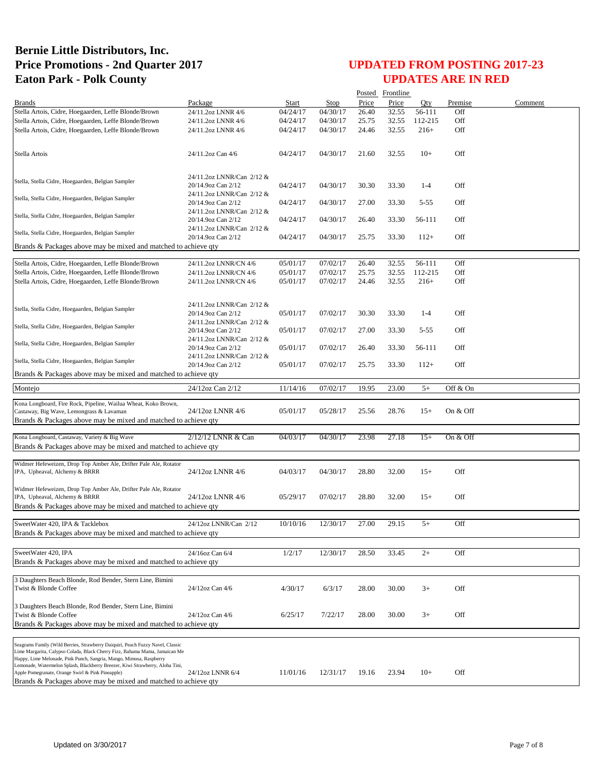|                                                                                                                                                                                                                                                                                                                                                                                                                                               |                                                                              |          |             |       | Posted Frontline |          |          |         |
|-----------------------------------------------------------------------------------------------------------------------------------------------------------------------------------------------------------------------------------------------------------------------------------------------------------------------------------------------------------------------------------------------------------------------------------------------|------------------------------------------------------------------------------|----------|-------------|-------|------------------|----------|----------|---------|
| <b>Brands</b>                                                                                                                                                                                                                                                                                                                                                                                                                                 | Package                                                                      | Start    | <b>Stop</b> | Price | Price            | Oty      | Premise  | Comment |
| Stella Artois, Cidre, Hoegaarden, Leffe Blonde/Brown                                                                                                                                                                                                                                                                                                                                                                                          | 24/11.2oz LNNR 4/6                                                           | 04/24/17 | 04/30/17    | 26.40 | 32.55            | 56-111   | Off      |         |
| Stella Artois, Cidre, Hoegaarden, Leffe Blonde/Brown                                                                                                                                                                                                                                                                                                                                                                                          | 24/11.2oz LNNR 4/6                                                           | 04/24/17 | 04/30/17    | 25.75 | 32.55            | 112-215  | Off      |         |
| Stella Artois, Cidre, Hoegaarden, Leffe Blonde/Brown                                                                                                                                                                                                                                                                                                                                                                                          | 24/11.2oz LNNR 4/6                                                           | 04/24/17 | 04/30/17    | 24.46 | 32.55            | $216+$   | Off      |         |
| Stella Artois                                                                                                                                                                                                                                                                                                                                                                                                                                 | 24/11.2oz Can 4/6                                                            | 04/24/17 | 04/30/17    | 21.60 | 32.55            | $10+$    | Off      |         |
| Stella, Stella Cidre, Hoegaarden, Belgian Sampler                                                                                                                                                                                                                                                                                                                                                                                             | 24/11.2oz LNNR/Can 2/12 &<br>20/14.9oz Can 2/12<br>24/11.2oz LNNR/Can 2/12 & | 04/24/17 | 04/30/17    | 30.30 | 33.30            | $1-4$    | Off      |         |
| Stella, Stella Cidre, Hoegaarden, Belgian Sampler                                                                                                                                                                                                                                                                                                                                                                                             | 20/14.9oz Can 2/12<br>24/11.2oz LNNR/Can 2/12 &                              | 04/24/17 | 04/30/17    | 27.00 | 33.30            | $5 - 55$ | Off      |         |
| Stella, Stella Cidre, Hoegaarden, Belgian Sampler                                                                                                                                                                                                                                                                                                                                                                                             | 20/14.9oz Can 2/12                                                           | 04/24/17 | 04/30/17    | 26.40 | 33.30            | 56-111   | Off      |         |
| Stella, Stella Cidre, Hoegaarden, Belgian Sampler                                                                                                                                                                                                                                                                                                                                                                                             | 24/11.2oz LNNR/Can 2/12 &<br>20/14.9oz Can 2/12                              | 04/24/17 | 04/30/17    | 25.75 | 33.30            | $112+$   | Off      |         |
| Brands & Packages above may be mixed and matched to achieve qty                                                                                                                                                                                                                                                                                                                                                                               |                                                                              |          |             |       |                  |          |          |         |
| Stella Artois, Cidre, Hoegaarden, Leffe Blonde/Brown                                                                                                                                                                                                                                                                                                                                                                                          | 24/11.2oz LNNR/CN 4/6                                                        | 05/01/17 | 07/02/17    | 26.40 | 32.55            | 56-111   | Off      |         |
| Stella Artois, Cidre, Hoegaarden, Leffe Blonde/Brown                                                                                                                                                                                                                                                                                                                                                                                          | 24/11.2oz LNNR/CN 4/6                                                        | 05/01/17 | 07/02/17    | 25.75 | 32.55            | 112-215  | Off      |         |
| Stella Artois, Cidre, Hoegaarden, Leffe Blonde/Brown                                                                                                                                                                                                                                                                                                                                                                                          | 24/11.2oz LNNR/CN 4/6                                                        | 05/01/17 | 07/02/17    | 24.46 | 32.55            | $216+$   | Off      |         |
|                                                                                                                                                                                                                                                                                                                                                                                                                                               |                                                                              |          |             |       |                  |          |          |         |
| Stella, Stella Cidre, Hoegaarden, Belgian Sampler                                                                                                                                                                                                                                                                                                                                                                                             | 24/11.2oz LNNR/Can 2/12 &<br>20/14.9oz Can 2/12<br>24/11.2oz LNNR/Can 2/12 & | 05/01/17 | 07/02/17    | 30.30 | 33.30            | $1-4$    | Off      |         |
| Stella, Stella Cidre, Hoegaarden, Belgian Sampler                                                                                                                                                                                                                                                                                                                                                                                             | 20/14.9oz Can 2/12                                                           | 05/01/17 | 07/02/17    | 27.00 | 33.30            | $5 - 55$ | Off      |         |
| Stella, Stella Cidre, Hoegaarden, Belgian Sampler                                                                                                                                                                                                                                                                                                                                                                                             | 24/11.2oz LNNR/Can 2/12 &<br>20/14.9oz Can 2/12                              | 05/01/17 | 07/02/17    | 26.40 | 33.30            | 56-111   | Off      |         |
| Stella, Stella Cidre, Hoegaarden, Belgian Sampler                                                                                                                                                                                                                                                                                                                                                                                             | 24/11.2oz LNNR/Can 2/12 &<br>20/14.9oz Can 2/12                              | 05/01/17 | 07/02/17    | 25.75 | 33.30            | $112+$   | Off      |         |
| Brands & Packages above may be mixed and matched to achieve qty                                                                                                                                                                                                                                                                                                                                                                               |                                                                              |          |             |       |                  |          |          |         |
| Montejo                                                                                                                                                                                                                                                                                                                                                                                                                                       | 24/12oz Can 2/12                                                             | 11/14/16 | 07/02/17    | 19.95 | 23.00            | $5+$     | Off & On |         |
|                                                                                                                                                                                                                                                                                                                                                                                                                                               |                                                                              |          |             |       |                  |          |          |         |
| Kona Longboard, Fire Rock, Pipeline, Wailua Wheat, Koko Brown,<br>Castaway, Big Wave, Lemongrass & Lavaman<br>Brands & Packages above may be mixed and matched to achieve qty                                                                                                                                                                                                                                                                 | 24/12oz LNNR 4/6                                                             | 05/01/17 | 05/28/17    | 25.56 | 28.76            | $15+$    | On & Off |         |
|                                                                                                                                                                                                                                                                                                                                                                                                                                               | 2/12/12 LNNR & Can                                                           | 04/03/17 | 04/30/17    | 23.98 |                  | $15+$    | On & Off |         |
| Kona Longboard, Castaway, Variety & Big Wave<br>Brands & Packages above may be mixed and matched to achieve qty                                                                                                                                                                                                                                                                                                                               |                                                                              |          |             |       | 27.18            |          |          |         |
|                                                                                                                                                                                                                                                                                                                                                                                                                                               |                                                                              |          |             |       |                  |          |          |         |
| Widmer Hefeweizen, Drop Top Amber Ale, Drifter Pale Ale, Rotator<br>IPA, Upheaval, Alchemy & BRRR                                                                                                                                                                                                                                                                                                                                             | 24/12oz LNNR 4/6                                                             | 04/03/17 | 04/30/17    | 28.80 | 32.00            | $15+$    | Off      |         |
| Widmer Hefeweizen, Drop Top Amber Ale, Drifter Pale Ale, Rotator<br>IPA, Upheaval, Alchemy & BRRR<br>Brands & Packages above may be mixed and matched to achieve qty                                                                                                                                                                                                                                                                          | 24/12oz LNNR 4/6                                                             | 05/29/17 | 07/02/17    | 28.80 | 32.00            | $15+$    | Off      |         |
| SweetWater 420, IPA & Tacklebox                                                                                                                                                                                                                                                                                                                                                                                                               | 24/12oz LNNR/Can 2/12                                                        | 10/10/16 | 12/30/17    | 27.00 | 29.15            | $5+$     | Off      |         |
| Brands & Packages above may be mixed and matched to achieve qty                                                                                                                                                                                                                                                                                                                                                                               |                                                                              |          |             |       |                  |          |          |         |
|                                                                                                                                                                                                                                                                                                                                                                                                                                               |                                                                              |          |             |       |                  |          |          |         |
| SweetWater 420, IPA<br>Brands & Packages above may be mixed and matched to achieve qty                                                                                                                                                                                                                                                                                                                                                        | 24/16oz Can 6/4                                                              | 1/2/17   | 12/30/17    | 28.50 | 33.45            | $2+$     | Off      |         |
|                                                                                                                                                                                                                                                                                                                                                                                                                                               |                                                                              |          |             |       |                  |          |          |         |
| 3 Daughters Beach Blonde, Rod Bender, Stern Line, Bimini<br>Twist & Blonde Coffee                                                                                                                                                                                                                                                                                                                                                             | 24/12oz Can 4/6                                                              | 4/30/17  | 6/3/17      | 28.00 | 30.00            | $3+$     | Off      |         |
| 3 Daughters Beach Blonde, Rod Bender, Stern Line, Bimini<br>Twist & Blonde Coffee<br>Brands & Packages above may be mixed and matched to achieve qty                                                                                                                                                                                                                                                                                          | 24/12oz Can 4/6                                                              | 6/25/17  | 7/22/17     | 28.00 | 30.00            | $3+$     | Off      |         |
|                                                                                                                                                                                                                                                                                                                                                                                                                                               |                                                                              |          |             |       |                  |          |          |         |
| Seagrams Family (Wild Berries, Strawberry Daiquiri, Peach Fuzzy Navel, Classic<br>Lime Margarita, Calypso Colada, Black Cherry Fizz, Bahama Mama, Jamaican Me<br>Happy, Lime Melonade, Pink Punch, Sangria, Mango, Mimosa, Raspberry<br>Lemonade, Watermelon Splash, Blackberry Breezer, Kiwi Strawberry, Aloha Tini,<br>Apple Pomegranate, Orange Swirl & Pink Pineapple)<br>Brands & Packages above may be mixed and matched to achieve qty | 24/12oz LNNR 6/4                                                             | 11/01/16 | 12/31/17    | 19.16 | 23.94            | $10+$    | Off      |         |